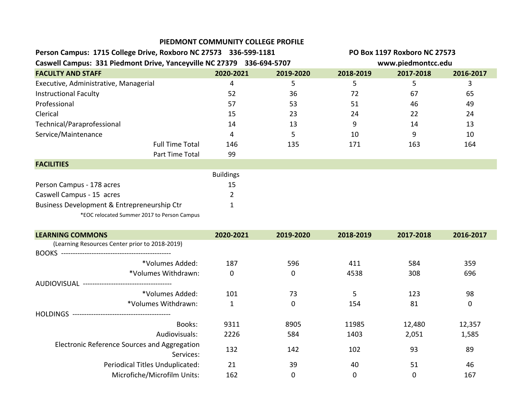|                                                                       |                        | PIEDMONT COMMUNITY COLLEGE PROFILE |                    |                              |           |           |
|-----------------------------------------------------------------------|------------------------|------------------------------------|--------------------|------------------------------|-----------|-----------|
| Person Campus: 1715 College Drive, Roxboro NC 27573 336-599-1181      |                        |                                    |                    | PO Box 1197 Roxboro NC 27573 |           |           |
| Caswell Campus: 331 Piedmont Drive, Yanceyville NC 27379 336-694-5707 |                        |                                    | www.piedmontcc.edu |                              |           |           |
| <b>FACULTY AND STAFF</b>                                              |                        | 2020-2021                          | 2019-2020          | 2018-2019                    | 2017-2018 | 2016-2017 |
| Executive, Administrative, Managerial                                 |                        | 4                                  | 5.                 | 5.                           | 5         |           |
| <b>Instructional Faculty</b>                                          |                        | 52                                 | 36                 | 72                           | 67        | 65        |
| Professional                                                          |                        | 57                                 | 53                 | 51                           | 46        | 49        |
| Clerical                                                              |                        | 15                                 | 23                 | 24                           | 22        | 24        |
| Technical/Paraprofessional                                            |                        | 14                                 | 13                 | 9                            | 14        | 13        |
| Service/Maintenance                                                   |                        | 4                                  | 5                  | 10                           | 9         | 10        |
|                                                                       | <b>Full Time Total</b> | 146                                | 135                | 171                          | 163       | 164       |
|                                                                       | Part Time Total        | 99                                 |                    |                              |           |           |
| <b>FACILITIES</b>                                                     |                        |                                    |                    |                              |           |           |
|                                                                       |                        | <b>Buildings</b>                   |                    |                              |           |           |
| Person Campus - 178 acres                                             |                        | 15                                 |                    |                              |           |           |
| Caswell Campus - 15 acres                                             |                        |                                    |                    |                              |           |           |
| Business Development & Entrepreneurship Ctr                           |                        |                                    |                    |                              |           |           |

\*EOC relocated Summer 2017 to Person Campus

| <b>LEARNING COMMONS</b>                            | 2020-2021    | 2019-2020 | 2018-2019 | 2017-2018   | 2016-2017 |
|----------------------------------------------------|--------------|-----------|-----------|-------------|-----------|
| (Learning Resources Center prior to 2018-2019)     |              |           |           |             |           |
| <b>BOOKS</b>                                       |              |           |           |             |           |
| *Volumes Added:                                    | 187          | 596       | 411       | 584         | 359       |
| *Volumes Withdrawn:                                | $\mathbf 0$  | 0         | 4538      | 308         | 696       |
| AUDIOVISUAL<br>----------------------------------- |              |           |           |             |           |
| *Volumes Added:                                    | 101          | 73        | 5         | 123         | 98        |
| *Volumes Withdrawn:                                | $\mathbf{1}$ | 0         | 154       | 81          | 0         |
| <b>HOLDINGS</b>                                    |              |           |           |             |           |
| Books:                                             | 9311         | 8905      | 11985     | 12,480      | 12,357    |
| Audiovisuals:                                      | 2226         | 584       | 1403      | 2,051       | 1,585     |
| Electronic Reference Sources and Aggregation       | 132          | 142       | 102       | 93          | 89        |
| Services:                                          |              |           |           |             |           |
| Periodical Titles Unduplicated:                    | 21           | 39        | 40        | 51          | 46        |
| Microfiche/Microfilm Units:                        | 162          | 0         | 0         | $\mathbf 0$ | 167       |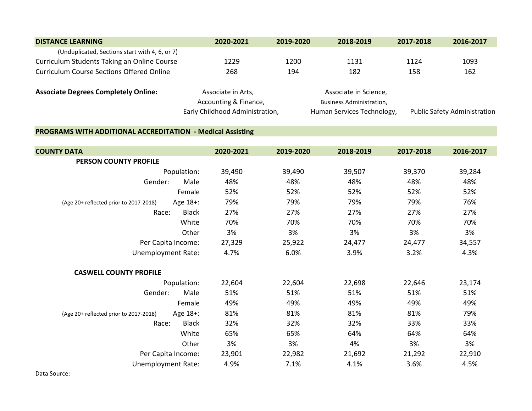| <b>DISTANCE LEARNING</b>                         | 2020-2021                                   | 2019-2020 | 2018-2019                                                | 2017-2018 | 2016-2017                           |
|--------------------------------------------------|---------------------------------------------|-----------|----------------------------------------------------------|-----------|-------------------------------------|
| (Unduplicated, Sections start with 4, 6, or 7)   |                                             |           |                                                          |           |                                     |
| Curriculum Students Taking an Online Course      | 1229                                        | 1200      | 1131                                                     | 1124      | 1093                                |
| <b>Curriculum Course Sections Offered Online</b> | 268                                         | 194       | 182                                                      | 158       | 162                                 |
| <b>Associate Degrees Completely Online:</b>      | Associate in Arts,<br>Accounting & Finance, |           | Associate in Science,<br><b>Business Administration,</b> |           |                                     |
|                                                  | Early Childhood Administration,             |           | Human Services Technology,                               |           | <b>Public Safety Administration</b> |

## **PROGRAMS WITH ADDITIONAL ACCREDITATION - Medical Assisting**

| <b>COUNTY DATA</b>                                 | 2020-2021 | 2019-2020 | 2018-2019 | 2017-2018 | 2016-2017 |
|----------------------------------------------------|-----------|-----------|-----------|-----------|-----------|
| <b>PERSON COUNTY PROFILE</b>                       |           |           |           |           |           |
| Population:                                        | 39,490    | 39,490    | 39,507    | 39,370    | 39,284    |
| Gender:<br>Male                                    | 48%       | 48%       | 48%       | 48%       | 48%       |
| Female                                             | 52%       | 52%       | 52%       | 52%       | 52%       |
| Age 18+:<br>(Age 20+ reflected prior to 2017-2018) | 79%       | 79%       | 79%       | 79%       | 76%       |
| Race:<br><b>Black</b>                              | 27%       | 27%       | 27%       | 27%       | 27%       |
| White                                              | 70%       | 70%       | 70%       | 70%       | 70%       |
| Other                                              | 3%        | 3%        | 3%        | 3%        | 3%        |
| Per Capita Income:                                 | 27,329    | 25,922    | 24,477    | 24,477    | 34,557    |
| <b>Unemployment Rate:</b>                          | 4.7%      | 6.0%      | 3.9%      | 3.2%      | 4.3%      |
| <b>CASWELL COUNTY PROFILE</b>                      |           |           |           |           |           |
| Population:                                        | 22,604    | 22,604    | 22,698    | 22,646    | 23,174    |
| Gender:<br>Male                                    | 51%       | 51%       | 51%       | 51%       | 51%       |
| Female                                             | 49%       | 49%       | 49%       | 49%       | 49%       |
| Age 18+:<br>(Age 20+ reflected prior to 2017-2018) | 81%       | 81%       | 81%       | 81%       | 79%       |
| <b>Black</b><br>Race:                              | 32%       | 32%       | 32%       | 33%       | 33%       |
| White                                              | 65%       | 65%       | 64%       | 64%       | 64%       |
| Other                                              | 3%        | 3%        | 4%        | 3%        | 3%        |
| Per Capita Income:                                 | 23,901    | 22,982    | 21,692    | 21,292    | 22,910    |
| <b>Unemployment Rate:</b>                          | 4.9%      | 7.1%      | 4.1%      | 3.6%      | 4.5%      |

Data Source: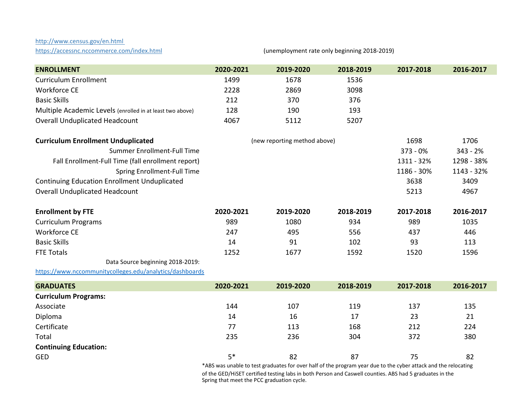## <http://www.census.gov/en.html>

https://accessnc.nccommerce.com/index.html (unemployment rate only beginning 2018-2019)

| <b>ENROLLMENT</b>                                         | 2020-2021 | 2019-2020                                                                                                      | 2018-2019 | 2017-2018  | 2016-2017  |
|-----------------------------------------------------------|-----------|----------------------------------------------------------------------------------------------------------------|-----------|------------|------------|
| <b>Curriculum Enrollment</b>                              | 1499      | 1678                                                                                                           | 1536      |            |            |
| <b>Workforce CE</b>                                       | 2228      | 2869                                                                                                           | 3098      |            |            |
| <b>Basic Skills</b>                                       | 212       | 370                                                                                                            | 376       |            |            |
| Multiple Academic Levels (enrolled in at least two above) | 128       | 190                                                                                                            | 193       |            |            |
| <b>Overall Unduplicated Headcount</b>                     | 4067      | 5112                                                                                                           | 5207      |            |            |
| <b>Curriculum Enrollment Unduplicated</b>                 |           | (new reporting method above)                                                                                   |           | 1698       | 1706       |
| Summer Enrollment-Full Time                               |           |                                                                                                                |           | 373 - 0%   | $343 - 2%$ |
| Fall Enrollment-Full Time (fall enrollment report)        |           |                                                                                                                |           | 1311 - 32% | 1298 - 38% |
| Spring Enrollment-Full Time                               |           |                                                                                                                |           | 1186 - 30% | 1143 - 32% |
| <b>Continuing Education Enrollment Unduplicated</b>       |           |                                                                                                                |           | 3638       | 3409       |
| <b>Overall Unduplicated Headcount</b>                     |           |                                                                                                                |           | 5213       | 4967       |
| <b>Enrollment by FTE</b>                                  | 2020-2021 | 2019-2020                                                                                                      | 2018-2019 | 2017-2018  | 2016-2017  |
| <b>Curriculum Programs</b>                                | 989       | 1080                                                                                                           | 934       | 989        | 1035       |
| <b>Workforce CE</b>                                       | 247       | 495                                                                                                            | 556       | 437        | 446        |
| <b>Basic Skills</b>                                       | 14        | 91                                                                                                             | 102       | 93         | 113        |
| <b>FTE Totals</b>                                         | 1252      | 1677                                                                                                           | 1592      | 1520       | 1596       |
| Data Source beginning 2018-2019:                          |           |                                                                                                                |           |            |            |
| https://www.nccommunitycolleges.edu/analytics/dashboards  |           |                                                                                                                |           |            |            |
| <b>GRADUATES</b>                                          | 2020-2021 | 2019-2020                                                                                                      | 2018-2019 | 2017-2018  | 2016-2017  |
| <b>Curriculum Programs:</b>                               |           |                                                                                                                |           |            |            |
| Associate                                                 | 144       | 107                                                                                                            | 119       | 137        | 135        |
| Diploma                                                   | 14        | 16                                                                                                             | 17        | 23         | 21         |
| Certificate                                               | 77        | 113                                                                                                            | 168       | 212        | 224        |
| Total                                                     | 235       | 236                                                                                                            | 304       | 372        | 380        |
| <b>Continuing Education:</b>                              |           |                                                                                                                |           |            |            |
| <b>GED</b>                                                | $5*$      | 82                                                                                                             | 87        | 75         | 82         |
|                                                           |           | *ABS was unable to test graduates for over half of the program year due to the cyber attack and the relocating |           |            |            |

\*ABS was unable to test graduates for over half of the program year due to the cyber attack and the relocating of the GED/HiSET certified testing labs in both Person and Caswell counties. ABS had 5 graduates in the Spring that meet the PCC graduation cycle.